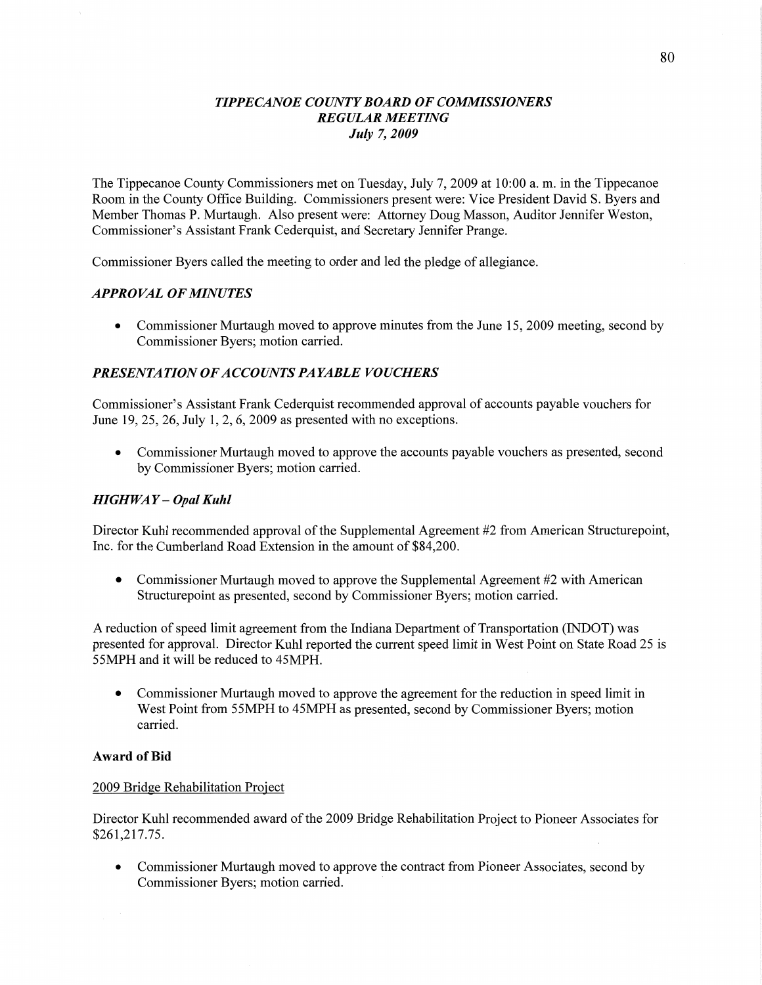### **TIPPECANOE COUNTY BOARD OF COMMISSIONERS** *REGULAR MEETING July* 7, *2009*

The Tippecanoe County Commissioners met on Tuesday, July 7, 2009 at **10:00** a. m. in the Tippecanoe Room in the County Office Building. Commissioners present were: **Vice** President David S. Byers and Member Thomas P. Murtaugh. Also present were: Attorney Doug Masson, Auditor Jennifer Weston, Commissioner's Assistant Frank Cederquist, and Secretary Jennifer Prange.

Commissioner Byers called the meeting to order and led the pledge of allegiance.

## *APPROVAL* OF *MINUTES*

• Commissioner Murtaugh moved to approve minutes from the June 15, 2009 meeting, second by Commissioner Byers; motion carried.

## **PRESENTATION OF ACCOUNTS PAYABLE VOUCHERS**

Commissioner's Assistant **Frank** Cederquist recommended approval of accounts payable vouchers for June 19, 25, 26, July 1, 2, 6, 2009 as presented with no exceptions.

**0** Commissioner **Murtaugh** moved to approve the accounts payable vouchers as presented, second by Commissioner Byers; **motion** carried.

### *HIGHWAY — Opal Kuhl*

Director Kuhl recommended approval of the Supplemental Agreement #2 from American Structurepoint, **Inc.** for the Cumberland **Road** Extension in the amount of \$84,200.

**0** Commissioner Murtaugh **moved** to approve the Supplemental Agreement #2 with American Structurepoint as presented, second by Commissioner Byers; motion carried.

**A** reduction of speed limit agreement from the Indiana Department of Transportation (INDOT) was presented for approval. Director Kuhl reported the current speed limit in West Point on State Road 25 is 55MPH and it will be reduced to 45MPH.

**0** Commissioner Murtaugh moved to approve the agreement for the reduction in speed limit in West Point from 55MPH to 45MPH as presented, second by Commissioner Byers; motion carried.

### Award of Bid

### 2009 Bridge Rehabilitation Project

Director Kuhl recommended award of the 2009 Bridge Rehabilitation Project to Pioneer Associates for **\$261,217.75.** 

**0** Commissioner Murtaugh **moved** to approve the contract from Pioneer Associates, second by Commissioner Byers; motion carried.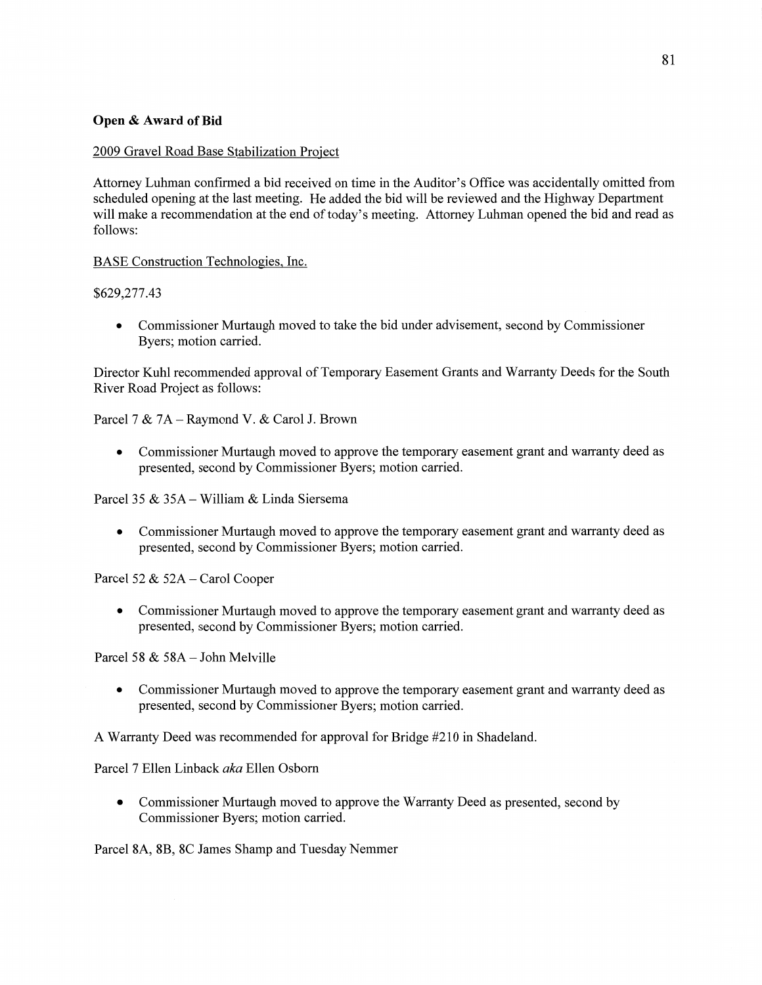## **Open &** Award of Bid

## 2009 Gravel Road Base Stabilization Project

Attorney Luhman confirmed a bid received on time in the Auditor's **Office** was accidentally omitted from scheduled opening at the last meeting. He added the bid will be reviewed and the Highway Department will make a recommendation at the end of today's meeting. Attorney Luhman opened the bid and read as follows:

BASE Construction Technologies. Inc.

### \$629,277.43

**0** Commissioner Murtaugh moved to take the bid under advisement, second by Commissioner Byers; motion carried.

Director Kuhl recommended approval of Temporary Easement Grants and Warranty Deeds for the South River Road Project as follows:

Parcel **7** & 7A — Raymond V. & Carol J. Brown

**0** Commissioner Murtaugh moved to approve the temporary easement grant and warranty deed as presented, second by Commissioner Byers; motion carried.

Parcel 35 & 35A — William & Linda Siersema

• Commissioner Murtaugh moved to approve the temporary easement grant and warranty deed as presented, second by Commissioner Byers; motion carried.

Parcel 52 & 52A - Carol Cooper

**0** Commissioner Murtaugh moved to approve the temporary easement grant and warranty deed as presented, second by Commissioner Byers; motion carried.

Parcel 58  $&$  58A - John Melville

**0** Commissioner Murtaugh moved to approve the temporary easement grant and warranty deed as presented, second by Commissioner Byers; motion carried.

**A** Warranty Deed was recommended for approval for Bridge #210 in Shadeland.

Parcel 7 Ellen Linback aka Ellen Osborn

**0** Commissioner Murtaugh moved to approve the Warranty Deed as presented, second by Commissioner Byers; motion carried.

Parcel 8A, 8B, 8C James Shamp and Tuesday Nemmer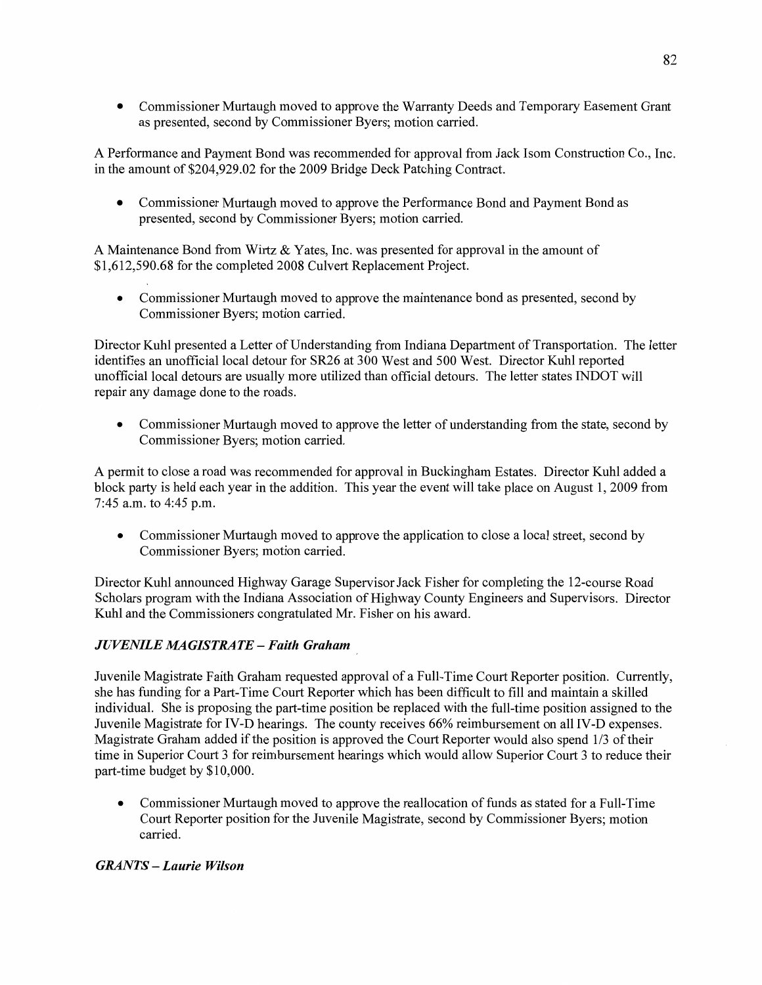**0 Commissioner** Murtaugh moved to approve the Warranty **Deeds** and Temporary Easement Grant as presented, second by Commissioner Byers; motion carried.

**A** Performance and Payment Bond was recommended for approval from Jack Isom Construction Co., Inc. in the amount of \$204,929.02 for the 2009 Bridge Deck Patching Contract.

**0** Commissioner Murtaugh moved to approve the Performance Bond and Payment Bond as presented, second by Commissioner Byers; motion carried.

**A** Maintenance Bond from Wittz & Yates, Inc. was presented for approval in the amount of \$1,612,590.68 for the completed 2008 Culvert Replacement Project.

**0** Commissioner Murtaugh moved to approve the **maintenance** bond as presented, second by **Commissioner** Byers; motion carried.

Director Kuhl presented **a** Letter of Understanding from Indiana Department of Transportation. The letter identifies an unofficial local detour for SR26 at 300 West and 500 **West.** Director Kuhl reported unofficial local detours are usually more utilized than official detours. The letter states INDOT will repair any damage done to the roads.

**0** Commissioner Murtaugh moved to approve the letter of understanding **from** the state, second by Commissioner Byers; motion carried.

**A** permit to close a road was recommended for approval in Buckingham Estatas. Director Kuhl added **<sup>a</sup>** block party is held each year in the addition. This year the event will take place on August 1, 2009 from 7:45 am. to 4:45 pm.

**0** Commissioner Murtaugh moved to approve the application to close **a** local street, **second** by Commissioner Byers; motion carried.

Director Kuhl announced Highway Garage Supervisor Jack Fisher for completing the 12-course Road **Scholars** program with the Indiana Association of Highway County Engineers and Supervisors. Director Kuhl and the Commissioners congratulated Mr. Fisher on his award.

# *JUVENILE [MAGISTRATE* **—** *Faith Graham* '

Juvenile Magistrate Faith Graham requested approval of a Full-Time Court Reporter position. Currently, she has funding for a Part-Time Court Reporter which has been difficult to fill and maintain a skilled individual. She is proposing the part-time position be replaced with the full—time position assigned to the Juvenile Magistrate for **IV-D** hearings. The county receives 66% reimbursement on all IV-D expenses. Magistrate Graham added if the position is approved the Court Reporter would also spend 1/3 of their time in Superior Court 3 for reimbursement **hearings** which would allow Superior Court 3 to reduce their part-time budget by \$10,000.

• Commissioner Murtaugh moved to approve the reallocation of funds as stated for a Full-Time Court Reporter position for the Juvenile Magistrate, second by Commissioner Byers; motion carried.

# *GRANTS* **—** *Laurie Wilson*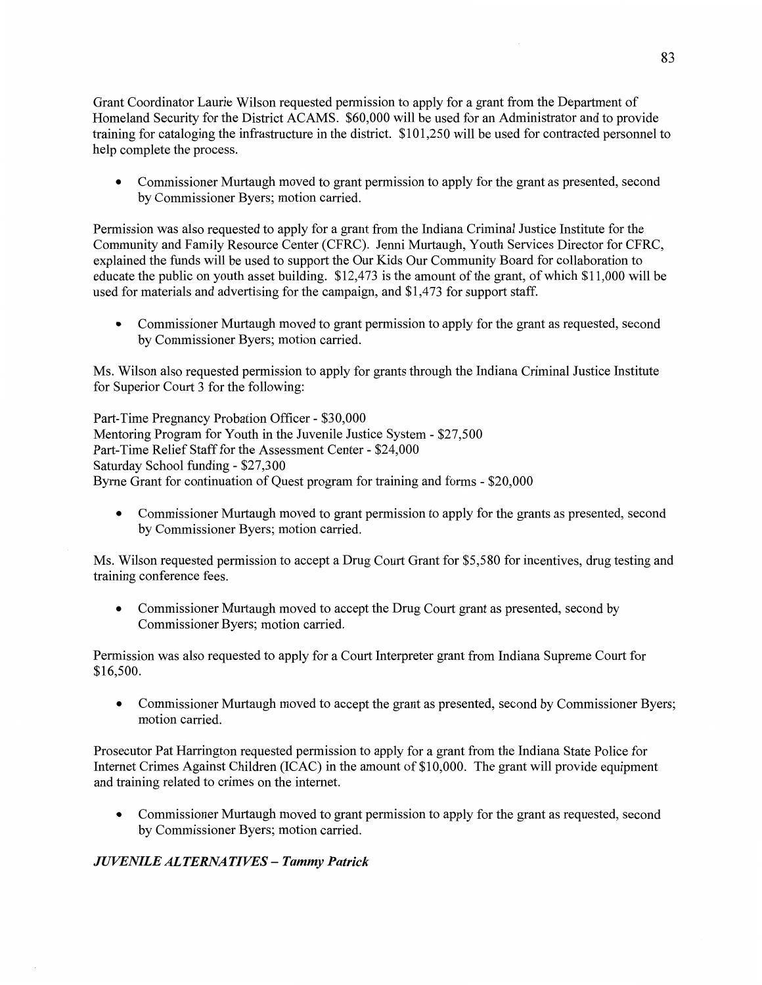**Grant** Coordinator Laurie Wilson requested permission to apply for a grant from the Department of Homeland Security for the **District** ACAMS. \$60,000 will be used for an Administrator and to provide training for cataloging the infrastructure in the district. \$101,250 will be used for contracted personnel to help complete the process.

**0** Commissioner Murtaugh moved to grant permission to apply for the grant as presented, second by Commissioner Byers; motion carried.

Permission was also requested to apply for a grant from the Indiana Criminal Justice Institute for the Community and Family Resource Center (CFRC). Jenni Murtaugh, Youth Services Director for CFRC, explained the funds will be used to support the Our Kids Our Community Board for collaboration to educate the public on youth asset building. \$12,473 is the amount of the grant, of which \$11,000 will be used for materials and advertising for the campaign, and \$1,473 for support staff.

**0** Commissioner Murtaugh moved to grant permission to apply for the grant as requested, second by Commissioner Byers; motion carried.

Ms. Wilson also requested permission to apply for grants through the **Indiana** Criminal Justice Institute for Superior Court 3 for the following:

Part-Time Pregnancy Probation Officer *-* \$3 0,000 Mentoring Program for Youth in the Juvenile Justice System *-* \$27,500 Part-Time Relief Staff for the Assessment Center *-* \$24,000 Saturday School funding *—* \$27,300 Byrne Grant for continuation of Quest program for training and forms *-* \$20,000

**0** Commissioner Murtaugh moved to grant permission to apply for the grants as presented, second by Commissioner Byers; **motion** carried.

Ms. Wilson requested permission to accept a Drug Court Grant for \$5,580 for incentives, drug testing and training conference fees.

**0** Commissioner Murtaugh moved to accept the Drug **Court** grant as presented, second by Commissioner Byers; motion carried.

Permission was also requested to apply for a Court Interpreter grant from Indiana Supreme Court for \$ **1** 6,5 00.

**0** Commissioner Murtaugh moved to accept the grant as presented, second by Commissioner Byers; motion carried.

Prosecutor Pat Harrington requested permission to apply for a **grant** from the Indiana State Police for **Internet** Crimes Against Children **(ICAC)** in the amount of \$10,000. The grant will provide equipment and training related to crimes on the internet.

**0** Commissioner Murtaugh moved to grant permission to apply for the grant as requested, second by Commissioner Byers; motion carried.

## *JUVENILE ALTERNATIVES* — *Tammy Patrick*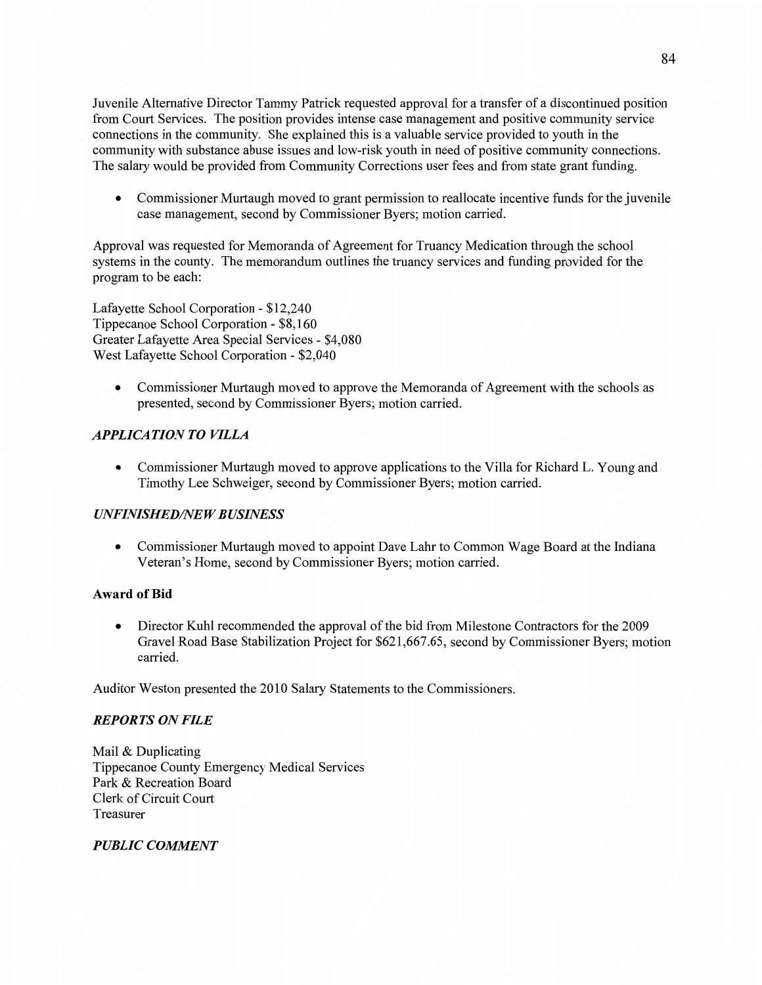Juvenile Alternative Director Tammy Patrick requested approval for a transfer of a discontinued position from Court Services. The position provides intense case management and positive community service *'* connections in the community. She explained **this** is a valuable service provided to youth in the community with substance abuse issues and low-risk youth in need of positive community connections. The salary would be provided from Community Corrections user fees and from state grant funding.

**0** Commissioner Murtaugh moved to grant permission to reallocate incentive **funds** for the juvenile case management, second by Commissioner Byers; motion carried.

Approval was requested for Memoranda of Agreement for Truancy Medication through the school systems in the county. The memorandum outlines the truancy services and **funding** provided for the program to be each:

Lafayette School Corporation *-* \$12,240 Tippecanoe School Corporation *-* \$8,160 Greater Lafayette Area Special Services *—* \$4,080 West Lafayette School Corporation *-* \$2,040

• Commissioner Murtaugh moved to approve the Memoranda of Agreement with the schools as presented, second by Commissioner Byers; motion carried.

## *APPLICATION* TO *VILLA*

**0** Commissioner Munaugh moved to approve applications to the Villa for **Richard** L. Young and Timothy Lee Schweiger, second by Commissioner Byers; motion carried.

## $UNFINISHED/NEW BUSINESS$

**0** Commissioner Murtaugh **moved** to appoint Dave Lahr to **Common** Wage Board at the **Indiana**  Veteran's Home, second by Commissioner Byers; motion **carried.** 

### **Award** of Bid

**0** Director Kuhl recommended the approval of the bid from **Milestone** Contractors for the 2009 Gravel Road Base Stabilization Project for \$621,667.65, second by Commissioner Byers; motion carried.

Auditor Weston presented the 2010 Salary Statements to the Commissioners.

### *REPORTS* ON *FILE*

Mail & Duplicating Tippecanoe County Emergency Medical Services Park & Recreation Board Clerk of Circuit **Court**  Treasurer

## *PUBLIC COMMENT*